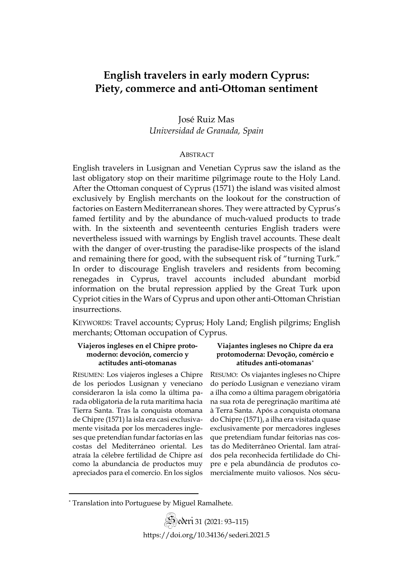# **English travelers in early modern Cyprus: Piety, commerce and anti-Ottoman sentiment**

José Ruiz Mas *Universidad de Granada, Spain*

## **ABSTRACT**

English travelers in Lusignan and Venetian Cyprus saw the island as the last obligatory stop on their maritime pilgrimage route to the Holy Land. After the Ottoman conquest of Cyprus (1571) the island was visited almost exclusively by English merchants on the lookout for the construction of factories on Eastern Mediterranean shores. They were attracted by Cyprus's famed fertility and by the abundance of much-valued products to trade with. In the sixteenth and seventeenth centuries English traders were nevertheless issued with warnings by English travel accounts. These dealt with the danger of over-trusting the paradise-like prospects of the island and remaining there for good, with the subsequent risk of "turning Turk." In order to discourage English travelers and residents from becoming renegades in Cyprus, travel accounts included abundant morbid information on the brutal repression applied by the Great Turk upon Cypriot cities in the Wars of Cyprus and upon other anti-Ottoman Christian insurrections.

KEYWORDS: Travel accounts; Cyprus; Holy Land; English pilgrims; English merchants; Ottoman occupation of Cyprus.

## **Viajeros ingleses en el Chipre protomoderno: devoción, comercio y actitudes anti-otomanas**

RESUMEN: Los viajeros ingleses a Chipre de los periodos Lusignan y veneciano consideraron la isla como la última parada obligatoria de la ruta marítima hacia Tierra Santa. Tras la conquista otomana de Chipre (1571) la isla era casi exclusivamente visitada por los mercaderes ingleses que pretendían fundar factorías en las costas del Mediterráneo oriental. Les atraía la célebre fertilidad de Chipre así como la abundancia de productos muy apreciados para el comercio. En los siglos

## **Viajantes ingleses no Chipre da era protomoderna: Devoção, comércio e atitudes anti-otomanas[\\*](#page-0-0)**

RESUMO: Os viajantes ingleses no Chipre do período Lusignan e veneziano viram a ilha como a última paragem obrigatória na sua rota de peregrinação marítima até à Terra Santa. Após a conquista otomana do Chipre (1571), a ilha era visitada quase exclusivamente por mercadores ingleses que pretendiam fundar feitorias nas costas do Mediterrâneo Oriental. Iam atraídos pela reconhecida fertilidade do Chipre e pela abundância de produtos comercialmente muito valiosos. Nos sécu-

<span id="page-0-0"></span><sup>\*</sup> Translation into Portuguese by Miguel Ramalhete.

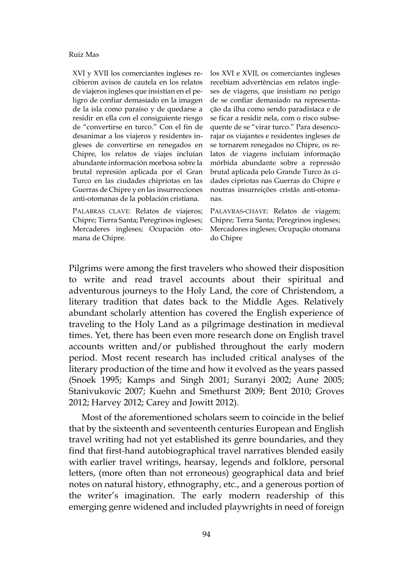XVI y XVII los comerciantes ingleses recibieron avisos de cautela en los relatos de viajeros ingleses que insistían en el peligro de confiar demasiado en la imagen de la isla como paraíso y de quedarse a residir en ella con el consiguiente riesgo de "convertirse en turco." Con el fin de desanimar a los viajeros y residentes ingleses de convertirse en renegados en Chipre, los relatos de viajes incluían abundante información morbosa sobre la brutal represión aplicada por el Gran Turco en las ciudades chipriotas en las Guerras de Chipre y en las insurrecciones anti-otomanas de la población cristiana.

PALABRAS CLAVE: Relatos de viajeros; Chipre; Tierra Santa; Peregrinos ingleses; Mercaderes ingleses; Ocupación otomana de Chipre.

los XVI e XVII, os comerciantes ingleses recebiam advertências em relatos ingleses de viagens, que insistiam no perigo de se confiar demasiado na representação da ilha como sendo paradisíaca e de se ficar a residir nela, com o risco subsequente de se "virar turco." Para desencorajar os viajantes e residentes ingleses de se tornarem renegados no Chipre, os relatos de viagens incluíam informação mórbida abundante sobre a repressão brutal aplicada pelo Grande Turco às cidades cipriotas nas Guerras do Chipre e noutras insurreições cristãs anti-otomanas.

PALAVRAS-CHAVE: Relatos de viagem; Chipre; Terra Santa; Peregrinos ingleses; Mercadores ingleses; Ocupação otomana do Chipre

Pilgrims were among the first travelers who showed their disposition to write and read travel accounts about their spiritual and adventurous journeys to the Holy Land, the core of Christendom, a literary tradition that dates back to the Middle Ages. Relatively abundant scholarly attention has covered the English experience of traveling to the Holy Land as a pilgrimage destination in medieval times. Yet, there has been even more research done on English travel accounts written and/or published throughout the early modern period. Most recent research has included critical analyses of the literary production of the time and how it evolved as the years passed (Snoek 1995; Kamps and Singh 2001; Suranyi 2002; Aune 2005; Stanivukovic 2007; Kuehn and Smethurst 2009; Bent 2010; Groves 2012; Harvey 2012; Carey and Jowitt 2012).

Most of the aforementioned scholars seem to coincide in the belief that by the sixteenth and seventeenth centuries European and English travel writing had not yet established its genre boundaries, and they find that first-hand autobiographical travel narratives blended easily with earlier travel writings, hearsay, legends and folklore, personal letters, (more often than not erroneous) geographical data and brief notes on natural history, ethnography, etc., and a generous portion of the writer's imagination. The early modern readership of this emerging genre widened and included playwrights in need of foreign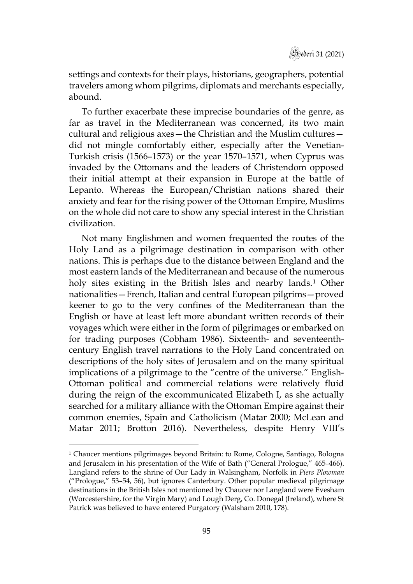settings and contexts for their plays, historians, geographers, potential travelers among whom pilgrims, diplomats and merchants especially, abound.

To further exacerbate these imprecise boundaries of the genre, as far as travel in the Mediterranean was concerned, its two main cultural and religious axes—the Christian and the Muslim cultures did not mingle comfortably either, especially after the Venetian-Turkish crisis (1566–1573) or the year 1570–1571, when Cyprus was invaded by the Ottomans and the leaders of Christendom opposed their initial attempt at their expansion in Europe at the battle of Lepanto. Whereas the European/Christian nations shared their anxiety and fear for the rising power of the Ottoman Empire, Muslims on the whole did not care to show any special interest in the Christian civilization.

Not many Englishmen and women frequented the routes of the Holy Land as a pilgrimage destination in comparison with other nations. This is perhaps due to the distance between England and the most eastern lands of the Mediterranean and because of the numerous holy sites existing in the British Isles and nearby lands.<sup>[1](#page-2-0)</sup> Other nationalities—French, Italian and central European pilgrims—proved keener to go to the very confines of the Mediterranean than the English or have at least left more abundant written records of their voyages which were either in the form of pilgrimages or embarked on for trading purposes (Cobham 1986). Sixteenth- and seventeenthcentury English travel narrations to the Holy Land concentrated on descriptions of the holy sites of Jerusalem and on the many spiritual implications of a pilgrimage to the "centre of the universe." English-Ottoman political and commercial relations were relatively fluid during the reign of the excommunicated Elizabeth I, as she actually searched for a military alliance with the Ottoman Empire against their common enemies, Spain and Catholicism (Matar 2000; McLean and Matar 2011; Brotton 2016). Nevertheless, despite Henry VIII's

<span id="page-2-0"></span><sup>&</sup>lt;sup>1</sup> Chaucer mentions pilgrimages beyond Britain: to Rome, Cologne, Santiago, Bologna and Jerusalem in his presentation of the Wife of Bath ("General Prologue," 465–466). Langland refers to the shrine of Our Lady in Walsingham, Norfolk in *Piers Plowman* ("Prologue," 53–54, 56), but ignores Canterbury. Other popular medieval pilgrimage destinations in the British Isles not mentioned by Chaucer nor Langland were Evesham (Worcestershire, for the Virgin Mary) and Lough Derg, Co. Donegal (Ireland), where St Patrick was believed to have entered Purgatory (Walsham 2010, 178).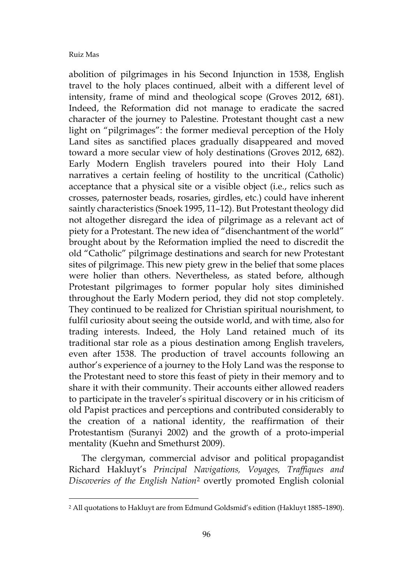abolition of pilgrimages in his Second Injunction in 1538, English travel to the holy places continued, albeit with a different level of intensity, frame of mind and theological scope (Groves 2012, 681). Indeed, the Reformation did not manage to eradicate the sacred character of the journey to Palestine. Protestant thought cast a new light on "pilgrimages": the former medieval perception of the Holy Land sites as sanctified places gradually disappeared and moved toward a more secular view of holy destinations (Groves 2012, 682). Early Modern English travelers poured into their Holy Land narratives a certain feeling of hostility to the uncritical (Catholic) acceptance that a physical site or a visible object (i.e., relics such as crosses, paternoster beads, rosaries, girdles, etc.) could have inherent saintly characteristics (Snoek 1995, 11–12). But Protestant theology did not altogether disregard the idea of pilgrimage as a relevant act of piety for a Protestant. The new idea of "disenchantment of the world" brought about by the Reformation implied the need to discredit the old "Catholic" pilgrimage destinations and search for new Protestant sites of pilgrimage. This new piety grew in the belief that some places were holier than others. Nevertheless, as stated before, although Protestant pilgrimages to former popular holy sites diminished throughout the Early Modern period, they did not stop completely. They continued to be realized for Christian spiritual nourishment, to fulfil curiosity about seeing the outside world, and with time, also for trading interests. Indeed, the Holy Land retained much of its traditional star role as a pious destination among English travelers, even after 1538. The production of travel accounts following an author's experience of a journey to the Holy Land was the response to the Protestant need to store this feast of piety in their memory and to share it with their community. Their accounts either allowed readers to participate in the traveler's spiritual discovery or in his criticism of old Papist practices and perceptions and contributed considerably to the creation of a national identity, the reaffirmation of their Protestantism (Suranyi 2002) and the growth of a proto-imperial mentality (Kuehn and Smethurst 2009).

The clergyman, commercial advisor and political propagandist Richard Hakluyt's *Principal Navigations, Voyages, Traffiques and Discoveries of the English Nation*[2](#page-3-0) overtly promoted English colonial

<span id="page-3-0"></span><sup>2</sup> All quotations to Hakluyt are from Edmund Goldsmid's edition (Hakluyt 1885–1890).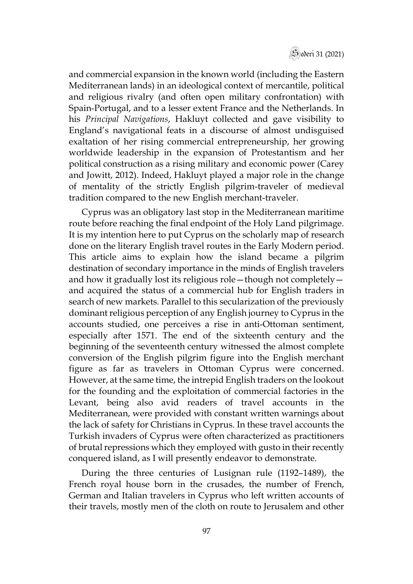

and commercial expansion in the known world (including the Eastern Mediterranean lands) in an ideological context of mercantile, political and religious rivalry (and often open military confrontation) with Spain-Portugal, and to a lesser extent France and the Netherlands. In his *Principal Navigations*, Hakluyt collected and gave visibility to England's navigational feats in a discourse of almost undisguised exaltation of her rising commercial entrepreneurship, her growing worldwide leadership in the expansion of Protestantism and her political construction as a rising military and economic power (Carey and Jowitt, 2012). Indeed, Hakluyt played a major role in the change of mentality of the strictly English pilgrim-traveler of medieval tradition compared to the new English merchant-traveler.

Cyprus was an obligatory last stop in the Mediterranean maritime route before reaching the final endpoint of the Holy Land pilgrimage. It is my intention here to put Cyprus on the scholarly map of research done on the literary English travel routes in the Early Modern period. This article aims to explain how the island became a pilgrim destination of secondary importance in the minds of English travelers and how it gradually lost its religious role—though not completely and acquired the status of a commercial hub for English traders in search of new markets. Parallel to this secularization of the previously dominant religious perception of any English journey to Cyprus in the accounts studied, one perceives a rise in anti-Ottoman sentiment, especially after 1571. The end of the sixteenth century and the beginning of the seventeenth century witnessed the almost complete conversion of the English pilgrim figure into the English merchant figure as far as travelers in Ottoman Cyprus were concerned. However, at the same time, the intrepid English traders on the lookout for the founding and the exploitation of commercial factories in the Levant, being also avid readers of travel accounts in the Mediterranean, were provided with constant written warnings about the lack of safety for Christians in Cyprus. In these travel accounts the Turkish invaders of Cyprus were often characterized as practitioners of brutal repressions which they employed with gusto in their recently conquered island, as I will presently endeavor to demonstrate.

During the three centuries of Lusignan rule (1192–1489), the French royal house born in the crusades, the number of French, German and Italian travelers in Cyprus who left written accounts of their travels, mostly men of the cloth on route to Jerusalem and other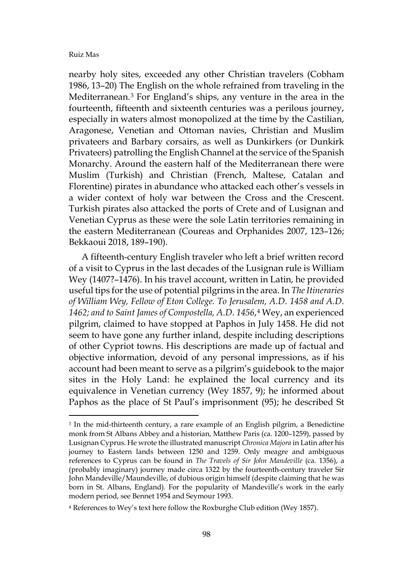nearby holy sites, exceeded any other Christian travelers (Cobham 1986, 13–20) The English on the whole refrained from traveling in the Mediterranean.[3](#page-5-0) For England's ships, any venture in the area in the fourteenth, fifteenth and sixteenth centuries was a perilous journey, especially in waters almost monopolized at the time by the Castilian, Aragonese, Venetian and Ottoman navies, Christian and Muslim privateers and Barbary corsairs, as well as Dunkirkers (or Dunkirk Privateers) patrolling the English Channel at the service of the Spanish Monarchy. Around the eastern half of the Mediterranean there were Muslim (Turkish) and Christian (French, Maltese, Catalan and Florentine) pirates in abundance who attacked each other's vessels in a wider context of holy war between the Cross and the Crescent. Turkish pirates also attacked the ports of Crete and of Lusignan and Venetian Cyprus as these were the sole Latin territories remaining in the eastern Mediterranean (Coureas and Orphanides 2007, 123–126; Bekkaoui 2018, 189–190).

A fifteenth-century English traveler who left a brief written record of a visit to Cyprus in the last decades of the Lusignan rule is William Wey (1407?–1476). In his travel account, written in Latin, he provided useful tips for the use of potential pilgrims in the area. In *The Itineraries of William Wey, Fellow of Eton College. To Jerusalem, A.D. 1458 and A.D. 1462; and to Saint James of Compostella, A.D. 1456*,[4](#page-5-1) Wey, an experienced pilgrim, claimed to have stopped at Paphos in July 1458. He did not seem to have gone any further inland, despite including descriptions of other Cypriot towns. His descriptions are made up of factual and objective information, devoid of any personal impressions, as if his account had been meant to serve as a pilgrim's guidebook to the major sites in the Holy Land: he explained the local currency and its equivalence in Venetian currency (Wey 1857, 9); he informed about Paphos as the place of St Paul's imprisonment (95); he described St

<span id="page-5-0"></span><sup>&</sup>lt;sup>3</sup> In the mid-thirteenth century, a rare example of an English pilgrim, a Benedictine monk from St Albans Abbey and a historian, Matthew Paris (ca. 1200–1259), passed by Lusignan Cyprus. He wrote the illustrated manuscript *Chronica Majora* in Latin after his journey to Eastern lands between 1250 and 1259. Only meagre and ambiguous references to Cyprus can be found in *The Travels of Sir John Mandeville* (ca. 1356), a (probably imaginary) journey made circa 1322 by the fourteenth-century traveler Sir John Mandeville/Maundeville, of dubious origin himself (despite claiming that he was born in St. Albans, England)*.* For the popularity of Mandeville's work in the early modern period, see Bennet 1954 and Seymour 1993.

<span id="page-5-1"></span><sup>4</sup> References to Wey's text here follow the Roxburghe Club edition (Wey 1857).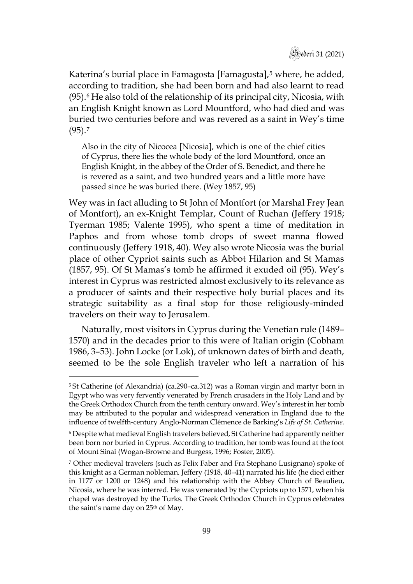

Katerina's burial place in Famagosta [Famagusta],<sup>[5](#page-6-0)</sup> where, he added, according to tradition, she had been born and had also learnt to read  $(95)$ .<sup>[6](#page-6-1)</sup> He also told of the relationship of its principal city, Nicosia, with an English Knight known as Lord Mountford, who had died and was buried two centuries before and was revered as a saint in Wey's time  $(95).7$  $(95).7$ 

Also in the city of Nicocea [Nicosia], which is one of the chief cities of Cyprus, there lies the whole body of the lord Mountford, once an English Knight, in the abbey of the Order of S. Benedict, and there he is revered as a saint, and two hundred years and a little more have passed since he was buried there. (Wey 1857, 95)

Wey was in fact alluding to St John of Montfort (or Marshal Frey Jean of Montfort), an ex-Knight Templar, Count of Ruchan (Jeffery 1918; Tyerman 1985; Valente 1995), who spent a time of meditation in Paphos and from whose tomb drops of sweet manna flowed continuously (Jeffery 1918, 40). Wey also wrote Nicosia was the burial place of other Cypriot saints such as Abbot Hilarion and St Mamas (1857, 95). Of St Mamas's tomb he affirmed it exuded oil (95). Wey's interest in Cyprus was restricted almost exclusively to its relevance as a producer of saints and their respective holy burial places and its strategic suitability as a final stop for those religiously-minded travelers on their way to Jerusalem.

Naturally, most visitors in Cyprus during the Venetian rule (1489– 1570) and in the decades prior to this were of Italian origin (Cobham 1986, 3–53). John Locke (or Lok), of unknown dates of birth and death, seemed to be the sole English traveler who left a narration of his

<span id="page-6-0"></span><sup>5</sup> St Catherine (of Alexandria) (ca.290–ca.312) was a Roman virgin and martyr born in Egypt who was very fervently venerated by French crusaders in the Holy Land and by the Greek Orthodox Church from the tenth century onward. Wey's interest in her tomb may be attributed to the popular and widespread veneration in England due to the influence of twelfth-century Anglo-Norman Clémence de Barking's *Life of St. Catherine*.

<span id="page-6-1"></span><sup>6</sup> Despite what medieval English travelers believed, St Catherine had apparently neither been born nor buried in Cyprus. According to tradition, her tomb was found at the foot of Mount Sinai (Wogan-Browne and Burgess, 1996; Foster, 2005).

<span id="page-6-2"></span><sup>7</sup> Other medieval travelers (such as Felix Faber and Fra Stephano Lusignano) spoke of this knight as a German nobleman. Jeffery (1918, 40–41) narrated his life (he died either in 1177 or 1200 or 1248) and his relationship with the Abbey Church of Beaulieu, Nicosia, where he was interred. He was venerated by the Cypriots up to 1571, when his chapel was destroyed by the Turks. The Greek Orthodox Church in Cyprus celebrates the saint's name day on 25<sup>th</sup> of May.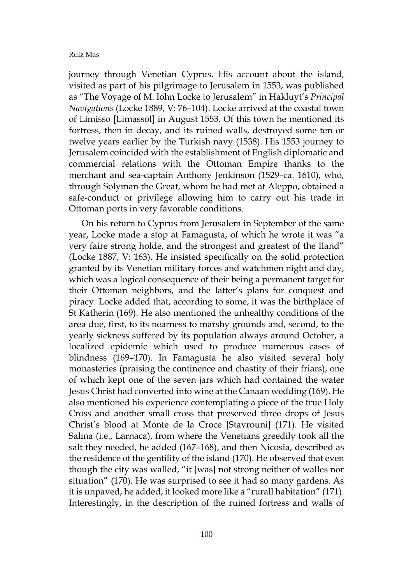journey through Venetian Cyprus. His account about the island, visited as part of his pilgrimage to Jerusalem in 1553, was published as "The Voyage of M. Iohn Locke to Jerusalem" in Hakluyt's *Principal Navigations* (Locke 1889, V: 76–104). Locke arrived at the coastal town of Limisso [Limassol] in August 1553. Of this town he mentioned its fortress, then in decay, and its ruined walls, destroyed some ten or twelve years earlier by the Turkish navy (1538). His 1553 journey to Jerusalem coincided with the establishment of English diplomatic and commercial relations with the Ottoman Empire thanks to the merchant and sea-captain Anthony Jenkinson (1529–ca. 1610), who, through Solyman the Great, whom he had met at Aleppo, obtained a safe-conduct or privilege allowing him to carry out his trade in Ottoman ports in very favorable conditions.

On his return to Cyprus from Jerusalem in September of the same year, Locke made a stop at Famagusta, of which he wrote it was "a very faire strong holde, and the strongest and greatest of the Iland" (Locke 1887, V: 163). He insisted specifically on the solid protection granted by its Venetian military forces and watchmen night and day, which was a logical consequence of their being a permanent target for their Ottoman neighbors, and the latter's plans for conquest and piracy. Locke added that, according to some, it was the birthplace of St Katherin (169). He also mentioned the unhealthy conditions of the area due, first, to its nearness to marshy grounds and, second, to the yearly sickness suffered by its population always around October, a localized epidemic which used to produce numerous cases of blindness (169–170). In Famagusta he also visited several holy monasteries (praising the continence and chastity of their friars), one of which kept one of the seven jars which had contained the water Jesus Christ had converted into wine at the Canaan wedding (169). He also mentioned his experience contemplating a piece of the true Holy Cross and another small cross that preserved three drops of Jesus Christ's blood at Monte de la Croce [Stavrouni] (171). He visited Salina (i.e., Larnaca), from where the Venetians greedily took all the salt they needed, he added (167–168), and then Nicosia, described as the residence of the gentility of the island (170). He observed that even though the city was walled, "it [was] not strong neither of walles nor situation" (170). He was surprised to see it had so many gardens. As it is unpaved, he added, it looked more like a "rurall habitation" (171). Interestingly, in the description of the ruined fortress and walls of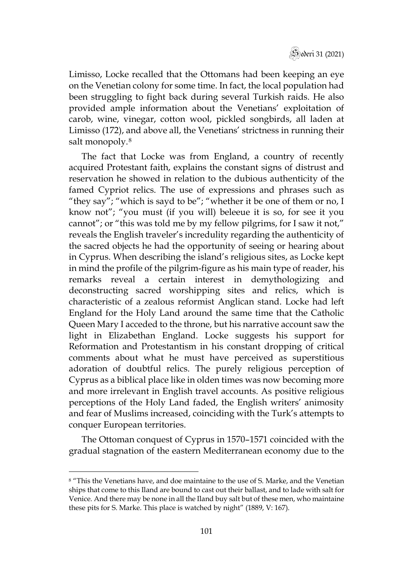

Limisso, Locke recalled that the Ottomans had been keeping an eye on the Venetian colony for some time. In fact, the local population had been struggling to fight back during several Turkish raids. He also provided ample information about the Venetians' exploitation of carob, wine, vinegar, cotton wool, pickled songbirds, all laden at Limisso (172), and above all, the Venetians' strictness in running their salt monopoly.<sup>[8](#page-8-0)</sup>

The fact that Locke was from England, a country of recently acquired Protestant faith, explains the constant signs of distrust and reservation he showed in relation to the dubious authenticity of the famed Cypriot relics. The use of expressions and phrases such as "they say"; "which is sayd to be"; "whether it be one of them or no, I know not"; "you must (if you will) beleeue it is so, for see it you cannot"; or "this was told me by my fellow pilgrims, for I saw it not," reveals the English traveler's incredulity regarding the authenticity of the sacred objects he had the opportunity of seeing or hearing about in Cyprus. When describing the island's religious sites, as Locke kept in mind the profile of the pilgrim-figure as his main type of reader, his remarks reveal a certain interest in demythologizing and deconstructing sacred worshipping sites and relics, which is characteristic of a zealous reformist Anglican stand. Locke had left England for the Holy Land around the same time that the Catholic Queen Mary I acceded to the throne, but his narrative account saw the light in Elizabethan England. Locke suggests his support for Reformation and Protestantism in his constant dropping of critical comments about what he must have perceived as superstitious adoration of doubtful relics. The purely religious perception of Cyprus as a biblical place like in olden times was now becoming more and more irrelevant in English travel accounts. As positive religious perceptions of the Holy Land faded, the English writers' animosity and fear of Muslims increased, coinciding with the Turk's attempts to conquer European territories.

The Ottoman conquest of Cyprus in 1570–1571 coincided with the gradual stagnation of the eastern Mediterranean economy due to the

<span id="page-8-0"></span><sup>8</sup> "This the Venetians have, and doe maintaine to the use of S. Marke, and the Venetian ships that come to this Iland are bound to cast out their ballast, and to lade with salt for Venice. And there may be none in all the Iland buy salt but of these men, who maintaine these pits for S. Marke. This place is watched by night" (1889, V: 167).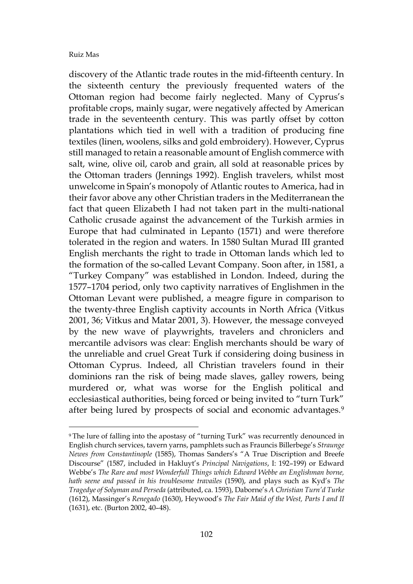discovery of the Atlantic trade routes in the mid-fifteenth century. In the sixteenth century the previously frequented waters of the Ottoman region had become fairly neglected. Many of Cyprus's profitable crops, mainly sugar, were negatively affected by American trade in the seventeenth century. This was partly offset by cotton plantations which tied in well with a tradition of producing fine textiles (linen, woolens, silks and gold embroidery). However, Cyprus still managed to retain a reasonable amount of English commerce with salt, wine, olive oil, carob and grain, all sold at reasonable prices by the Ottoman traders (Jennings 1992). English travelers, whilst most unwelcome in Spain's monopoly of Atlantic routes to America, had in their favor above any other Christian traders in the Mediterranean the fact that queen Elizabeth I had not taken part in the multi-national Catholic crusade against the advancement of the Turkish armies in Europe that had culminated in Lepanto (1571) and were therefore tolerated in the region and waters. In 1580 Sultan Murad III granted English merchants the right to trade in Ottoman lands which led to the formation of the so-called Levant Company. Soon after, in 1581, a "Turkey Company" was established in London. Indeed, during the 1577–1704 period, only two captivity narratives of Englishmen in the Ottoman Levant were published, a meagre figure in comparison to the twenty-three English captivity accounts in North Africa (Vitkus 2001, 36; Vitkus and Matar 2001, 3). However, the message conveyed by the new wave of playwrights, travelers and chroniclers and mercantile advisors was clear: English merchants should be wary of the unreliable and cruel Great Turk if considering doing business in Ottoman Cyprus. Indeed, all Christian travelers found in their dominions ran the risk of being made slaves, galley rowers, being murdered or, what was worse for the English political and ecclesiastical authorities, being forced or being invited to "turn Turk" after being lured by prospects of social and economic advantages.<sup>[9](#page-9-0)</sup>

<span id="page-9-0"></span><sup>&</sup>lt;sup>9</sup> The lure of falling into the apostasy of "turning Turk" was recurrently denounced in English church services, tavern yarns, pamphlets such as Frauncis Billerbege's *Straunge Newes from Constantinople* (1585), Thomas Sanders's "A True Discription and Breefe Discourse" (1587, included in Hakluyt's *Principal Navigations*, I: 192–199) or Edward Webbe's *The Rare and most Wonderfull Things which Edward Webbe an Englishman borne, hath seene and passed in his troublesome travailes* (1590), and plays such as Kyd's *The Tragedye of Solyman and Perseda* (attributed, ca. 1593), Daborne's *A Christian Turn'd Turke* (1612), Massinger's *Renegado* (1630), Heywood's *The Fair Maid of the West, Parts I and II* (1631), etc. (Burton 2002, 40–48).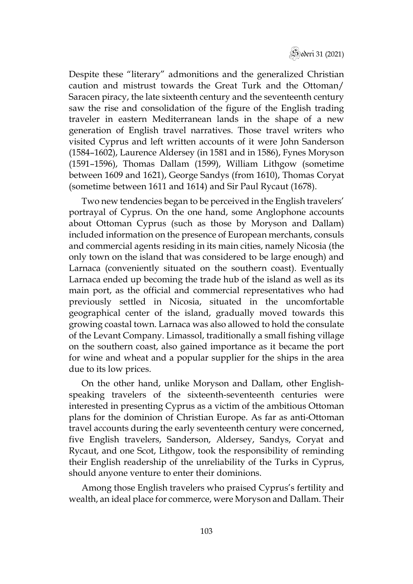

Despite these "literary" admonitions and the generalized Christian caution and mistrust towards the Great Turk and the Ottoman/ Saracen piracy, the late sixteenth century and the seventeenth century saw the rise and consolidation of the figure of the English trading traveler in eastern Mediterranean lands in the shape of a new generation of English travel narratives. Those travel writers who visited Cyprus and left written accounts of it were John Sanderson (1584–1602), Laurence Aldersey (in 1581 and in 1586), Fynes Moryson (1591–1596), Thomas Dallam (1599), William Lithgow (sometime between 1609 and 1621), George Sandys (from 1610), Thomas Coryat (sometime between 1611 and 1614) and Sir Paul Rycaut (1678).

Two new tendencies began to be perceived in the English travelers' portrayal of Cyprus. On the one hand, some Anglophone accounts about Ottoman Cyprus (such as those by Moryson and Dallam) included information on the presence of European merchants, consuls and commercial agents residing in its main cities, namely Nicosia (the only town on the island that was considered to be large enough) and Larnaca (conveniently situated on the southern coast). Eventually Larnaca ended up becoming the trade hub of the island as well as its main port, as the official and commercial representatives who had previously settled in Nicosia, situated in the uncomfortable geographical center of the island, gradually moved towards this growing coastal town. Larnaca was also allowed to hold the consulate of the Levant Company. Limassol, traditionally a small fishing village on the southern coast, also gained importance as it became the port for wine and wheat and a popular supplier for the ships in the area due to its low prices.

On the other hand, unlike Moryson and Dallam, other Englishspeaking travelers of the sixteenth-seventeenth centuries were interested in presenting Cyprus as a victim of the ambitious Ottoman plans for the dominion of Christian Europe. As far as anti-Ottoman travel accounts during the early seventeenth century were concerned, five English travelers, Sanderson, Aldersey, Sandys, Coryat and Rycaut, and one Scot, Lithgow, took the responsibility of reminding their English readership of the unreliability of the Turks in Cyprus, should anyone venture to enter their dominions.

Among those English travelers who praised Cyprus's fertility and wealth, an ideal place for commerce, were Moryson and Dallam. Their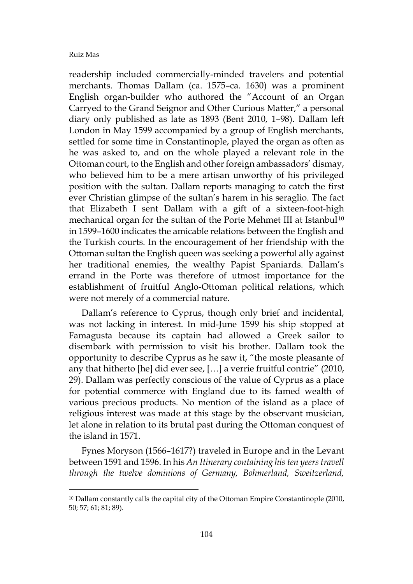readership included commercially-minded travelers and potential merchants. Thomas Dallam (ca. 1575–ca. 1630) was a prominent English organ-builder who authored the "Account of an Organ Carryed to the Grand Seignor and Other Curious Matter," a personal diary only published as late as 1893 (Bent 2010, 1–98). Dallam left London in May 1599 accompanied by a group of English merchants, settled for some time in Constantinople, played the organ as often as he was asked to, and on the whole played a relevant role in the Ottoman court, to the English and other foreign ambassadors' dismay, who believed him to be a mere artisan unworthy of his privileged position with the sultan. Dallam reports managing to catch the first ever Christian glimpse of the sultan's harem in his seraglio. The fact that Elizabeth I sent Dallam with a gift of a sixteen-foot-high mechanical organ for the sultan of the Porte Mehmet III at Istanbul<sup>[10](#page-11-0)</sup> in 1599–1600 indicates the amicable relations between the English and the Turkish courts. In the encouragement of her friendship with the Ottoman sultan the English queen was seeking a powerful ally against her traditional enemies, the wealthy Papist Spaniards. Dallam's errand in the Porte was therefore of utmost importance for the establishment of fruitful Anglo-Ottoman political relations, which were not merely of a commercial nature.

Dallam's reference to Cyprus, though only brief and incidental, was not lacking in interest. In mid-June 1599 his ship stopped at Famagusta because its captain had allowed a Greek sailor to disembark with permission to visit his brother. Dallam took the opportunity to describe Cyprus as he saw it, "the moste pleasante of any that hitherto [he] did ever see, […] a verrie fruitful contrie" (2010, 29). Dallam was perfectly conscious of the value of Cyprus as a place for potential commerce with England due to its famed wealth of various precious products. No mention of the island as a place of religious interest was made at this stage by the observant musician, let alone in relation to its brutal past during the Ottoman conquest of the island in 1571.

Fynes Moryson (1566–1617?) traveled in Europe and in the Levant between 1591 and 1596. In his *An Itinerary containing his ten yeers travell through the twelve dominions of Germany, Bohmerland, Sweitzerland,* 

<span id="page-11-0"></span><sup>&</sup>lt;sup>10</sup> Dallam constantly calls the capital city of the Ottoman Empire Constantinople (2010, 50; 57; 61; 81; 89).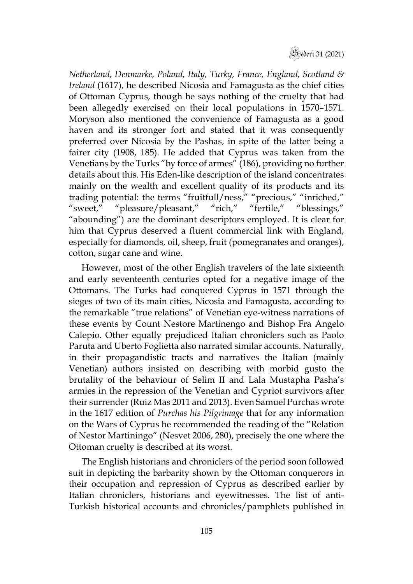

*Netherland, Denmarke, Poland, Italy, Turky, France, England, Scotland & Ireland* (1617), he described Nicosia and Famagusta as the chief cities of Ottoman Cyprus, though he says nothing of the cruelty that had been allegedly exercised on their local populations in 1570–1571. Moryson also mentioned the convenience of Famagusta as a good haven and its stronger fort and stated that it was consequently preferred over Nicosia by the Pashas, in spite of the latter being a fairer city (1908, 185). He added that Cyprus was taken from the Venetians by the Turks "by force of armes" (186), providing no further details about this. His Eden-like description of the island concentrates mainly on the wealth and excellent quality of its products and its trading potential: the terms "fruitfull/ness," "precious," "inriched," "sweet," "pleasure/pleasant," "rich," "fertile," "blessings," "abounding") are the dominant descriptors employed. It is clear for him that Cyprus deserved a fluent commercial link with England, especially for diamonds, oil, sheep, fruit (pomegranates and oranges), cotton, sugar cane and wine.

However, most of the other English travelers of the late sixteenth and early seventeenth centuries opted for a negative image of the Ottomans. The Turks had conquered Cyprus in 1571 through the sieges of two of its main cities, Nicosia and Famagusta, according to the remarkable "true relations" of Venetian eye-witness narrations of these events by Count Nestore Martinengo and Bishop Fra Angelo Calepio. Other equally prejudiced Italian chroniclers such as Paolo Paruta and Uberto Foglietta also narrated similar accounts. Naturally, in their propagandistic tracts and narratives the Italian (mainly Venetian) authors insisted on describing with morbid gusto the brutality of the behaviour of Selim II and Lala Mustapha Pasha's armies in the repression of the Venetian and Cypriot survivors after their surrender (Ruiz Mas 2011 and 2013). Even Samuel Purchas wrote in the 1617 edition of *Purchas his Pilgrimage* that for any information on the Wars of Cyprus he recommended the reading of the "Relation of Nestor Martiningo" (Nesvet 2006, 280), precisely the one where the Ottoman cruelty is described at its worst.

The English historians and chroniclers of the period soon followed suit in depicting the barbarity shown by the Ottoman conquerors in their occupation and repression of Cyprus as described earlier by Italian chroniclers, historians and eyewitnesses. The list of anti-Turkish historical accounts and chronicles/pamphlets published in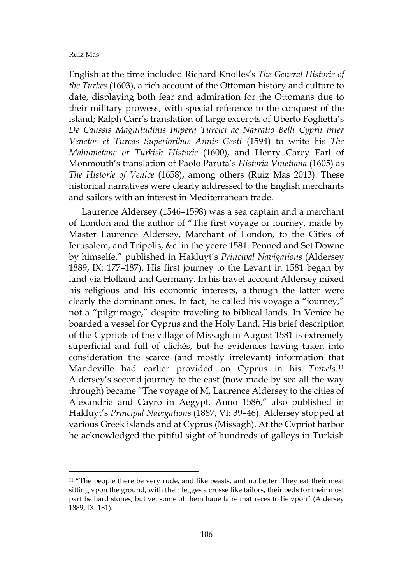English at the time included Richard Knolles's *The General Historie of the Turkes* (1603), a rich account of the Ottoman history and culture to date, displaying both fear and admiration for the Ottomans due to their military prowess, with special reference to the conquest of the island; Ralph Carr's translation of large excerpts of Uberto Foglietta's *De Caussis Magnitudinis Imperii Turcici ac Narratio Belli Cyprii inter Venetos et Turcas Superioribus Annis Gesti* (1594) to write his *The Mahumetane or Turkish Historie* (1600), and Henry Carey Earl of Monmouth's translation of Paolo Paruta's *Historia Vinetiana* (1605) as *The Historie of Venice* (1658), among others (Ruiz Mas 2013). These historical narratives were clearly addressed to the English merchants and sailors with an interest in Mediterranean trade.

Laurence Aldersey (1546–1598) was a sea captain and a merchant of London and the author of "The first voyage or iourney, made by Master Laurence Aldersey, Marchant of London, to the Cities of Ierusalem, and Tripolis, &c. in the yeere 1581. Penned and Set Downe by himselfe," published in Hakluyt's *Principal Navigations* (Aldersey 1889, IX: 177–187). His first journey to the Levant in 1581 began by land via Holland and Germany. In his travel account Aldersey mixed his religious and his economic interests, although the latter were clearly the dominant ones. In fact, he called his voyage a "journey," not a "pilgrimage," despite traveling to biblical lands. In Venice he boarded a vessel for Cyprus and the Holy Land. His brief description of the Cypriots of the village of Missagh in August 1581 is extremely superficial and full of clichés, but he evidences having taken into consideration the scarce (and mostly irrelevant) information that Mandeville had earlier provided on Cyprus in his *Travels.*[11](#page-13-0) Aldersey's second journey to the east (now made by sea all the way through) became "The voyage of M. Laurence Aldersey to the cities of Alexandria and Cayro in Aegypt, Anno 1586," also published in Hakluyt's *Principal Navigations* (1887, VI: 39–46). Aldersey stopped at various Greek islands and at Cyprus (Missagh). At the Cypriot harbor he acknowledged the pitiful sight of hundreds of galleys in Turkish

<span id="page-13-0"></span><sup>&</sup>lt;sup>11</sup> "The people there be very rude, and like beasts, and no better. They eat their meat sitting vpon the ground, with their legges a crosse like tailors, their beds for their most part be hard stones, but yet some of them haue faire mattreces to lie vpon" (Aldersey 1889, IX: 181).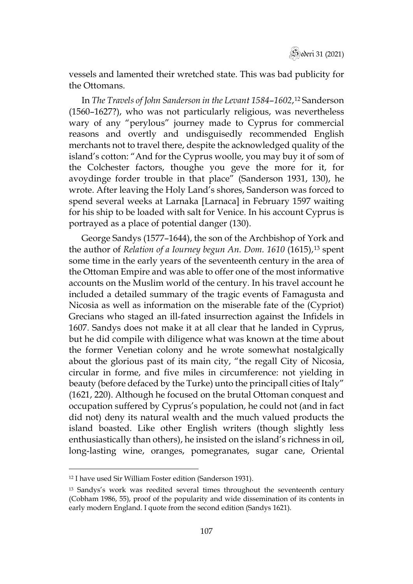

vessels and lamented their wretched state. This was bad publicity for the Ottomans.

In *The Travels of John Sanderson in the Levant 1584*–*1602*,[12](#page-14-0) Sanderson (1560–1627?), who was not particularly religious, was nevertheless wary of any "perylous" journey made to Cyprus for commercial reasons and overtly and undisguisedly recommended English merchants not to travel there, despite the acknowledged quality of the island's cotton: "And for the Cyprus woolle, you may buy it of som of the Colchester factors, thoughe you geve the more for it, for avoydinge forder trouble in that place" (Sanderson 1931, 130), he wrote. After leaving the Holy Land's shores, Sanderson was forced to spend several weeks at Larnaka [Larnaca] in February 1597 waiting for his ship to be loaded with salt for Venice. In his account Cyprus is portrayed as a place of potential danger (130).

George Sandys (1577–1644), the son of the Archbishop of York and the author of *Relation of a Iourney begun An. Dom.* 1610 (1615),<sup>[13](#page-14-1)</sup> spent some time in the early years of the seventeenth century in the area of the Ottoman Empire and was able to offer one of the most informative accounts on the Muslim world of the century. In his travel account he included a detailed summary of the tragic events of Famagusta and Nicosia as well as information on the miserable fate of the (Cypriot) Grecians who staged an ill-fated insurrection against the Infidels in 1607. Sandys does not make it at all clear that he landed in Cyprus, but he did compile with diligence what was known at the time about the former Venetian colony and he wrote somewhat nostalgically about the glorious past of its main city, "the regall City of Nicosia, circular in forme, and five miles in circumference: not yielding in beauty (before defaced by the Turke) unto the principall cities of Italy" (1621, 220). Although he focused on the brutal Ottoman conquest and occupation suffered by Cyprus's population, he could not (and in fact did not) deny its natural wealth and the much valued products the island boasted. Like other English writers (though slightly less enthusiastically than others), he insisted on the island's richness in oil, long-lasting wine, oranges, pomegranates, sugar cane, Oriental

<span id="page-14-0"></span><sup>12</sup> I have used Sir William Foster edition (Sanderson 1931).

<span id="page-14-1"></span><sup>13</sup> Sandys's work was reedited several times throughout the seventeenth century (Cobham 1986, 55), proof of the popularity and wide dissemination of its contents in early modern England. I quote from the second edition (Sandys 1621).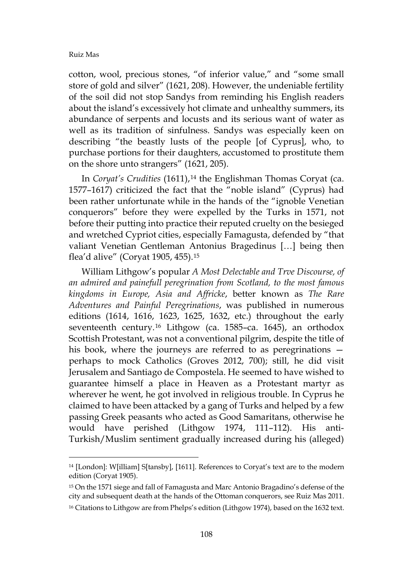cotton, wool, precious stones, "of inferior value," and "some small store of gold and silver" (1621, 208). However, the undeniable fertility of the soil did not stop Sandys from reminding his English readers about the island's excessively hot climate and unhealthy summers, its abundance of serpents and locusts and its serious want of water as well as its tradition of sinfulness. Sandys was especially keen on describing "the beastly lusts of the people [of Cyprus], who, to purchase portions for their daughters, accustomed to prostitute them on the shore unto strangers" (1621, 205).

In *Coryat's Crudities* (1611),<sup>[14](#page-15-0)</sup> the Englishman Thomas Coryat (ca. 1577–1617) criticized the fact that the "noble island" (Cyprus) had been rather unfortunate while in the hands of the "ignoble Venetian conquerors" before they were expelled by the Turks in 1571, not before their putting into practice their reputed cruelty on the besieged and wretched Cypriot cities, especially Famagusta, defended by "that valiant Venetian Gentleman Antonius Bragedinus […] being then flea'd alive" (Coryat 1905, 455).[15](#page-15-1)

William Lithgow's popular *A Most Delectable and Trve Discourse, of an admired and painefull peregrination from Scotland, to the most famous kingdoms in Europe, Asia and Affricke*, better known as *The Rare Adventures and Painful Peregrinations*, was published in numerous editions (1614, 1616, 1623, 1625, 1632, etc.) throughout the early seventeenth century.<sup>[16](#page-15-2)</sup> Lithgow (ca. 1585-ca. 1645), an orthodox Scottish Protestant, was not a conventional pilgrim, despite the title of his book, where the journeys are referred to as peregrinations perhaps to mock Catholics (Groves 2012, 700); still, he did visit Jerusalem and Santiago de Compostela. He seemed to have wished to guarantee himself a place in Heaven as a Protestant martyr as wherever he went, he got involved in religious trouble. In Cyprus he claimed to have been attacked by a gang of Turks and helped by a few passing Greek peasants who acted as Good Samaritans, otherwise he would have perished (Lithgow 1974, 111–112). His anti-Turkish/Muslim sentiment gradually increased during his (alleged)

<span id="page-15-0"></span><sup>14</sup> [London]: W[illiam] S[tansby], [1611]. References to Coryat's text are to the modern edition (Coryat 1905).

<span id="page-15-1"></span><sup>15</sup> On the 1571 siege and fall of Famagusta and Marc Antonio Bragadino's defense of the city and subsequent death at the hands of the Ottoman conquerors, see Ruiz Mas 2011.

<span id="page-15-2"></span><sup>&</sup>lt;sup>16</sup> Citations to Lithgow are from Phelps's edition (Lithgow 1974), based on the 1632 text.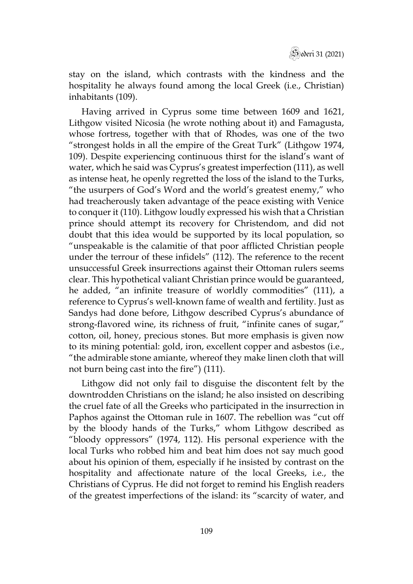

stay on the island, which contrasts with the kindness and the hospitality he always found among the local Greek (i.e., Christian) inhabitants (109).

Having arrived in Cyprus some time between 1609 and 1621, Lithgow visited Nicosia (he wrote nothing about it) and Famagusta, whose fortress, together with that of Rhodes, was one of the two "strongest holds in all the empire of the Great Turk" (Lithgow 1974, 109). Despite experiencing continuous thirst for the island's want of water, which he said was Cyprus's greatest imperfection (111), as well as intense heat, he openly regretted the loss of the island to the Turks, "the usurpers of God's Word and the world's greatest enemy," who had treacherously taken advantage of the peace existing with Venice to conquer it (110). Lithgow loudly expressed his wish that a Christian prince should attempt its recovery for Christendom, and did not doubt that this idea would be supported by its local population, so "unspeakable is the calamitie of that poor afflicted Christian people under the terrour of these infidels" (112). The reference to the recent unsuccessful Greek insurrections against their Ottoman rulers seems clear. This hypothetical valiant Christian prince would be guaranteed, he added, "an infinite treasure of worldly commodities" (111), a reference to Cyprus's well-known fame of wealth and fertility. Just as Sandys had done before, Lithgow described Cyprus's abundance of strong-flavored wine, its richness of fruit, "infinite canes of sugar," cotton, oil, honey, precious stones. But more emphasis is given now to its mining potential: gold, iron, excellent copper and asbestos (i.e., "the admirable stone amiante, whereof they make linen cloth that will not burn being cast into the fire") (111).

Lithgow did not only fail to disguise the discontent felt by the downtrodden Christians on the island; he also insisted on describing the cruel fate of all the Greeks who participated in the insurrection in Paphos against the Ottoman rule in 1607. The rebellion was "cut off by the bloody hands of the Turks," whom Lithgow described as "bloody oppressors" (1974, 112). His personal experience with the local Turks who robbed him and beat him does not say much good about his opinion of them, especially if he insisted by contrast on the hospitality and affectionate nature of the local Greeks, i.e., the Christians of Cyprus. He did not forget to remind his English readers of the greatest imperfections of the island: its "scarcity of water, and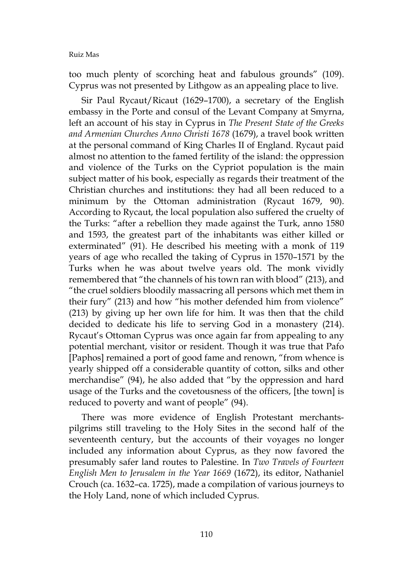too much plenty of scorching heat and fabulous grounds" (109). Cyprus was not presented by Lithgow as an appealing place to live.

Sir Paul Rycaut/Ricaut (1629–1700), a secretary of the English embassy in the Porte and consul of the Levant Company at Smyrna, left an account of his stay in Cyprus in *The Present State of the Greeks and Armenian Churches Anno Christi 1678* (1679), a travel book written at the personal command of King Charles II of England. Rycaut paid almost no attention to the famed fertility of the island: the oppression and violence of the Turks on the Cypriot population is the main subject matter of his book, especially as regards their treatment of the Christian churches and institutions: they had all been reduced to a minimum by the Ottoman administration (Rycaut 1679, 90). According to Rycaut, the local population also suffered the cruelty of the Turks: "after a rebellion they made against the Turk, anno 1580 and 1593, the greatest part of the inhabitants was either killed or exterminated" (91). He described his meeting with a monk of 119 years of age who recalled the taking of Cyprus in 1570–1571 by the Turks when he was about twelve years old. The monk vividly remembered that "the channels of his town ran with blood" (213), and "the cruel soldiers bloodily massacring all persons which met them in their fury" (213) and how "his mother defended him from violence" (213) by giving up her own life for him. It was then that the child decided to dedicate his life to serving God in a monastery (214). Rycaut's Ottoman Cyprus was once again far from appealing to any potential merchant, visitor or resident. Though it was true that Pafo [Paphos] remained a port of good fame and renown, "from whence is yearly shipped off a considerable quantity of cotton, silks and other merchandise" (94), he also added that "by the oppression and hard usage of the Turks and the covetousness of the officers, [the town] is reduced to poverty and want of people" (94).

There was more evidence of English Protestant merchantspilgrims still traveling to the Holy Sites in the second half of the seventeenth century, but the accounts of their voyages no longer included any information about Cyprus, as they now favored the presumably safer land routes to Palestine. In *Two Travels of Fourteen English Men to Jerusalem in the Year 1669* (1672), its editor, Nathaniel Crouch (ca. 1632–ca. 1725), made a compilation of various journeys to the Holy Land, none of which included Cyprus.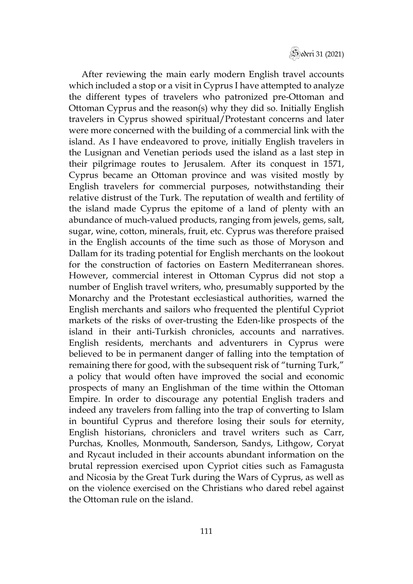

After reviewing the main early modern English travel accounts which included a stop or a visit in Cyprus I have attempted to analyze the different types of travelers who patronized pre-Ottoman and Ottoman Cyprus and the reason(s) why they did so. Initially English travelers in Cyprus showed spiritual/Protestant concerns and later were more concerned with the building of a commercial link with the island. As I have endeavored to prove, initially English travelers in the Lusignan and Venetian periods used the island as a last step in their pilgrimage routes to Jerusalem. After its conquest in 1571, Cyprus became an Ottoman province and was visited mostly by English travelers for commercial purposes, notwithstanding their relative distrust of the Turk. The reputation of wealth and fertility of the island made Cyprus the epitome of a land of plenty with an abundance of much-valued products, ranging from jewels, gems, salt, sugar, wine, cotton, minerals, fruit, etc. Cyprus was therefore praised in the English accounts of the time such as those of Moryson and Dallam for its trading potential for English merchants on the lookout for the construction of factories on Eastern Mediterranean shores. However, commercial interest in Ottoman Cyprus did not stop a number of English travel writers, who, presumably supported by the Monarchy and the Protestant ecclesiastical authorities, warned the English merchants and sailors who frequented the plentiful Cypriot markets of the risks of over-trusting the Eden-like prospects of the island in their anti-Turkish chronicles, accounts and narratives. English residents, merchants and adventurers in Cyprus were believed to be in permanent danger of falling into the temptation of remaining there for good, with the subsequent risk of "turning Turk," a policy that would often have improved the social and economic prospects of many an Englishman of the time within the Ottoman Empire. In order to discourage any potential English traders and indeed any travelers from falling into the trap of converting to Islam in bountiful Cyprus and therefore losing their souls for eternity, English historians, chroniclers and travel writers such as Carr, Purchas, Knolles, Monmouth, Sanderson, Sandys, Lithgow, Coryat and Rycaut included in their accounts abundant information on the brutal repression exercised upon Cypriot cities such as Famagusta and Nicosia by the Great Turk during the Wars of Cyprus, as well as on the violence exercised on the Christians who dared rebel against the Ottoman rule on the island.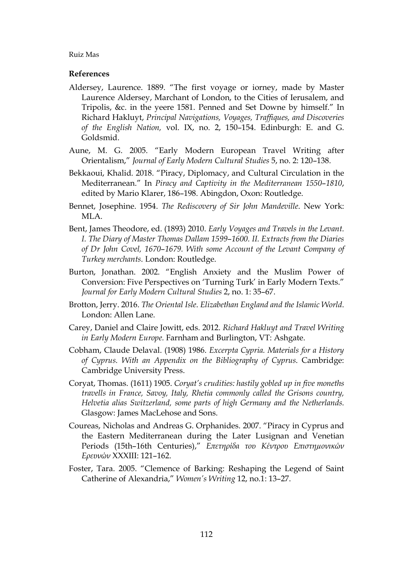## **References**

- Aldersey, Laurence. 1889. "The first voyage or iorney, made by Master Laurence Aldersey, Marchant of London, to the Cities of Ierusalem, and Tripolis, &c. in the yeere 1581. Penned and Set Downe by himself." In Richard Hakluyt, *Principal Navigations, Voyages, Traffiques, and Discoveries of the English Nation,* vol. IX, no. 2, 150–154. Edinburgh: E. and G. Goldsmid.
- Aune, M. G. 2005. "Early Modern European Travel Writing after Orientalism," *Journal of Early Modern Cultural Studies* 5, no. 2: 120–138.
- Bekkaoui, Khalid. 2018. "Piracy, Diplomacy, and Cultural Circulation in the Mediterranean." In *Piracy and Captivity in the Mediterranean 1550*–*1810*, edited by Mario Klarer, 186–198. Abingdon, Oxon: Routledge.
- Bennet, Josephine. 1954. *The Rediscovery of Sir John Mandeville*. New York: MLA.
- Bent, James Theodore, ed. (1893) 2010. *Early Voyages and Travels in the Levant. I. The Diary of Master Thomas Dallam 1599*–*1600. II. Extracts from the Diaries of Dr John Covel, 1670*–*1679. With some Account of the Levant Company of Turkey merchants*. London: Routledge.
- Burton, Jonathan. 2002. "English Anxiety and the Muslim Power of Conversion: Five Perspectives on 'Turning Turk' in Early Modern Texts." *Journal for Early Modern Cultural Studies* 2, no. 1: 35–67.
- Brotton, Jerry. 2016. *The Oriental Isle*. *Elizabethan England and the Islamic World*. London: Allen Lane.
- Carey, Daniel and Claire Jowitt, eds. 2012. *Richard Hakluyt and Travel Writing in Early Modern Europe.* Farnham and Burlington, VT: Ashgate.
- Cobham, Claude Delaval. (1908) 1986. *Excerpta Cypria. Materials for a History of Cyprus. With an Appendix on the Bibliography of Cyprus*. Cambridge: Cambridge University Press.
- Coryat, Thomas. (1611) 1905. *Coryat's crudities: hastily gobled up in five moneths travells in France, Savoy, Italy, Rhetia commonly called the Grisons country, Helvetia alias Switzerland, some parts of high Germany and the Netherlands.*  Glasgow: James MacLehose and Sons.
- Coureas, Nicholas and Andreas G. Orphanides. 2007. "Piracy in Cyprus and the Eastern Mediterranean during the Later Lusignan and Venetian Periods (15th–16th Centuries)," *Eπετηρίδα του Κέντρου Επιστηµονικών Ερευνών* XXXIII: 121–162.
- Foster, Tara. 2005. "Clemence of Barking: Reshaping the Legend of Saint Catherine of Alexandria," *Women's Writing* 12, no.1: 13–27.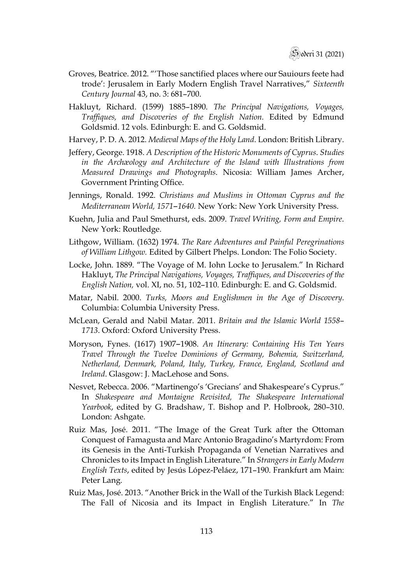- Groves, Beatrice. 2012. "'Those sanctified places where our Sauiours feete had trode': Jerusalem in Early Modern English Travel Narratives," *Sixteenth Century Journal* 43, no. 3: 681–700.
- Hakluyt, Richard. (1599) 1885–1890. *The Principal Navigations, Voyages, Traffiques, and Discoveries of the English Nation.* Edited by Edmund Goldsmid. 12 vols. Edinburgh: E. and G. Goldsmid.
- Harvey, P. D. A. 2012. *Medieval Maps of the Holy Land*. London: British Library.
- Jeffery, George. 1918. *A Description of the Historic Monuments of Cyprus*. *Studies in the Archæology and Architecture of the Island with Illustrations from Measured Drawings and Photographs*. Nicosia: William James Archer, Government Printing Office.
- Jennings, Ronald. 1992. *Christians and Muslims in Ottoman Cyprus and the Mediterranean World, 1571*–*1640.* New York: New York University Press.
- Kuehn, Julia and Paul Smethurst, eds. 2009. *Travel Writing, Form and Empire*. New York: Routledge.
- Lithgow, William. (1632) 1974. *The Rare Adventures and Painful Peregrinations of William Lithgow.* Edited by Gilbert Phelps. London: The Folio Society.
- Locke, John. 1889. "The Voyage of M. Iohn Locke to Jerusalem." In Richard Hakluyt, *The Principal Navigations, Voyages, Traffiques, and Discoveries of the English Nation,* vol. XI, no. 51, 102–110. Edinburgh: E. and G. Goldsmid.
- Matar, Nabil. 2000. *Turks, Moors and Englishmen in the Age of Discovery*. Columbia: Columbia University Press.
- McLean, Gerald and Nabil Matar. 2011. *Britain and the Islamic World 1558 1713*. Oxford: Oxford University Press.
- Moryson, Fynes. (1617) 1907–1908. *An Itinerary: Containing His Ten Years Travel Through the Twelve Dominions of Germany, Bohemia, Switzerland, Netherland, Denmark, Poland, Italy, Turkey, France, England, Scotland and Ireland*. Glasgow: J. MacLehose and Sons.
- Nesvet, Rebecca. 2006. "Martinengo's 'Grecians' and Shakespeare's Cyprus." In *Shakespeare and Montaigne Revisited, The Shakespeare International Yearbook*, edited by G. Bradshaw, T. Bishop and P. Holbrook, 280–310. London: Ashgate.
- Ruiz Mas, José. 2011. "The Image of the Great Turk after the Ottoman Conquest of Famagusta and Marc Antonio Bragadino's Martyrdom: From its Genesis in the Anti-Turkish Propaganda of Venetian Narratives and Chronicles to its Impact in English Literature." In *Strangers in Early Modern English Texts*, edited by Jesús López-Peláez, 171–190. Frankfurt am Main: Peter Lang.
- Ruiz Mas, José. 2013. "Another Brick in the Wall of the Turkish Black Legend: The Fall of Nicosia and its Impact in English Literature." In *The*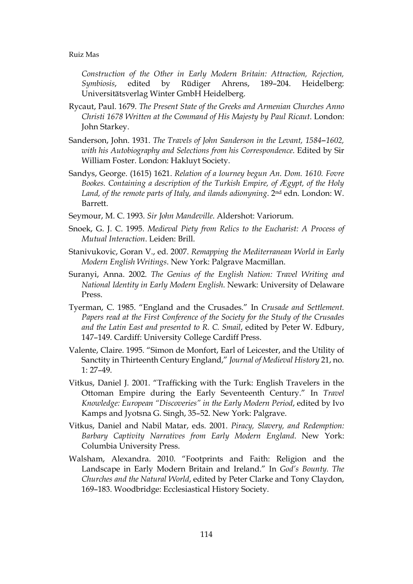*Construction of the Other in Early Modern Britain: Attraction, Rejection, Symbiosis*, edited by Rüdiger Ahrens, 189–204. Heidelberg: Universitätsverlag Winter GmbH Heidelberg.

- Rycaut, Paul. 1679. *The Present State of the Greeks and Armenian Churches Anno Christi 1678 Written at the Command of His Majesty by Paul Ricaut*. London: John Starkey.
- Sanderson, John. 1931. *The Travels of John Sanderson in the Levant, 1584*–*1602, with his Autobiography and Selections from his Correspondence*. Edited by Sir William Foster. London: Hakluyt Society.
- Sandys, George. (1615) 1621. *Relation of a Iourney begun An. Dom. 1610. Fovre Bookes. Containing a description of the Turkish Empire, of Ægypt, of the Holy Land, of the remote parts of Italy, and ilands adionyning*. 2nd edn. London: W. Barrett.
- Seymour, M. C. 1993. *Sir John Mandeville*. Aldershot: Variorum.
- Snoek, G. J. C. 1995. *Medieval Piety from Relics to the Eucharist: A Process of Mutual Interaction*. Leiden: Brill.
- Stanivukovic, Goran V., ed. 2007. *Remapping the Mediterranean World in Early Modern English Writings*. New York: Palgrave Macmillan.
- Suranyi, Anna. 2002. *The Genius of the English Nation: Travel Writing and National Identity in Early Modern English*. Newark: University of Delaware Press.
- Tyerman, C. 1985. "England and the Crusades." In *Crusade and Settlement. Papers read at the First Conference of the Society for the Study of the Crusades and the Latin East and presented to R. C. Smail*, edited by Peter W. Edbury, 147–149. Cardiff: University College Cardiff Press.
- Valente, Claire. 1995. "Simon de Monfort, Earl of Leicester, and the Utility of Sanctity in Thirteenth Century England," *Journal of Medieval History* 21, no.  $1: 27-49$ .
- Vitkus, Daniel J. 2001. "Trafficking with the Turk: English Travelers in the Ottoman Empire during the Early Seventeenth Century." In *Travel Knowledge: European "Discoveries" in the Early Modern Period*, edited by Ivo Kamps and Jyotsna G. Singh, 35–52. New York: Palgrave.
- Vitkus, Daniel and Nabil Matar, eds. 2001. *Piracy, Slavery, and Redemption: Barbary Captivity Narratives from Early Modern England*. New York: Columbia University Press.
- Walsham, Alexandra. 2010. "Footprints and Faith: Religion and the Landscape in Early Modern Britain and Ireland." In *God's Bounty. The Churches and the Natural World*, edited by Peter Clarke and Tony Claydon, 169–183. Woodbridge: Ecclesiastical History Society.